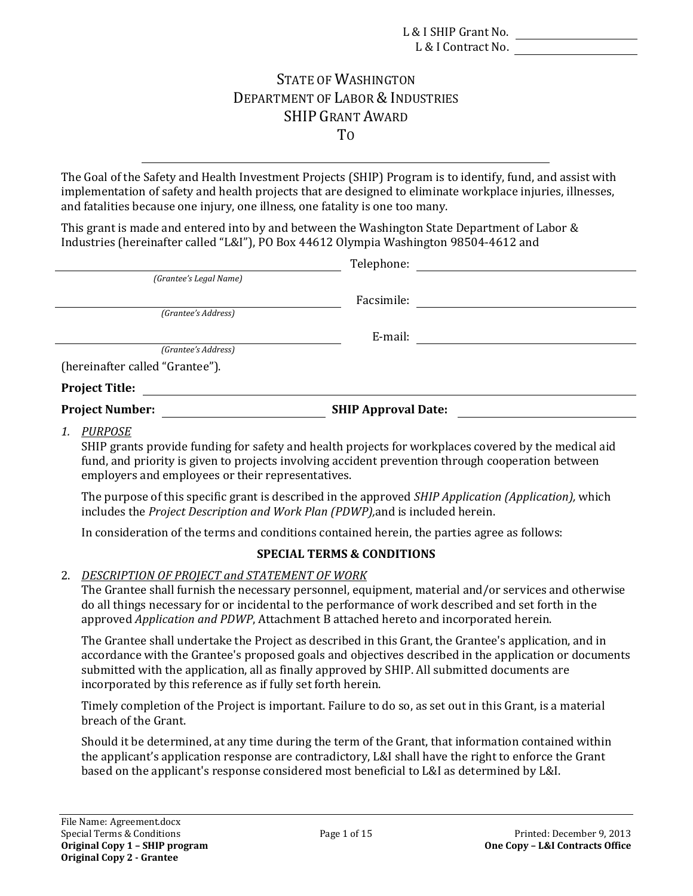# STATE OF WASHINGTON DEPARTMENT OF LABOR & INDUSTRIES SHIP GRANT AWARD TO

The Goal of the Safety and Health Investment Projects (SHIP) Program is to identify, fund, and assist with implementation of safety and health projects that are designed to eliminate workplace injuries, illnesses, and fatalities because one injury, one illness, one fatality is one too many.

This grant is made and entered into by and between the Washington State Department of Labor  $\&$ Industries (hereinafter called "L&I"), PO Box 44612 Olympia Washington 98504-4612 and

|                                 | Telephone:                 |  |
|---------------------------------|----------------------------|--|
| (Grantee's Legal Name)          |                            |  |
|                                 | Facsimile:                 |  |
| (Grantee's Address)             |                            |  |
|                                 | E-mail:                    |  |
| (Grantee's Address)             |                            |  |
| (hereinafter called "Grantee"). |                            |  |
| <b>Project Title:</b>           |                            |  |
| <b>Project Number:</b>          | <b>SHIP Approval Date:</b> |  |
|                                 |                            |  |

*1. PURPOSE*

SHIP grants provide funding for safety and health projects for workplaces covered by the medical aid fund, and priority is given to projects involving accident prevention through cooperation between employers and employees or their representatives.

The purpose of this specific grant is described in the approved *SHIP Application (Application),* which  includes the *Project Description and Work Plan (PDWP),*and is included herein. 

In consideration of the terms and conditions contained herein, the parties agree as follows:

## **SPECIAL TERMS & CONDITIONS**

## 2. *DESCRIPTION OF PROJECT and STATEMENT OF WORK*

The Grantee shall furnish the necessary personnel, equipment, material and/or services and otherwise  approved *Application and PDWP*, Attachment B attached hereto and incorporated herein. do all things necessary for or incidental to the performance of work described and set forth in the

The Grantee shall undertake the Project as described in this Grant, the Grantee's application, and in accordance with the Grantee's proposed goals and objectives described in the application or documents submitted with the application, all as finally approved by SHIP. All submitted documents are incorporated by this reference as if fully set forth herein.

Timely completion of the Project is important. Failure to do so, as set out in this Grant, is a material breach of the Grant.

Should it be determined, at any time during the term of the Grant, that information contained within the applicant's application response are contradictory, L&I shall have the right to enforce the Grant based on the applicant's response considered most beneficial to L&I as determined by L&I.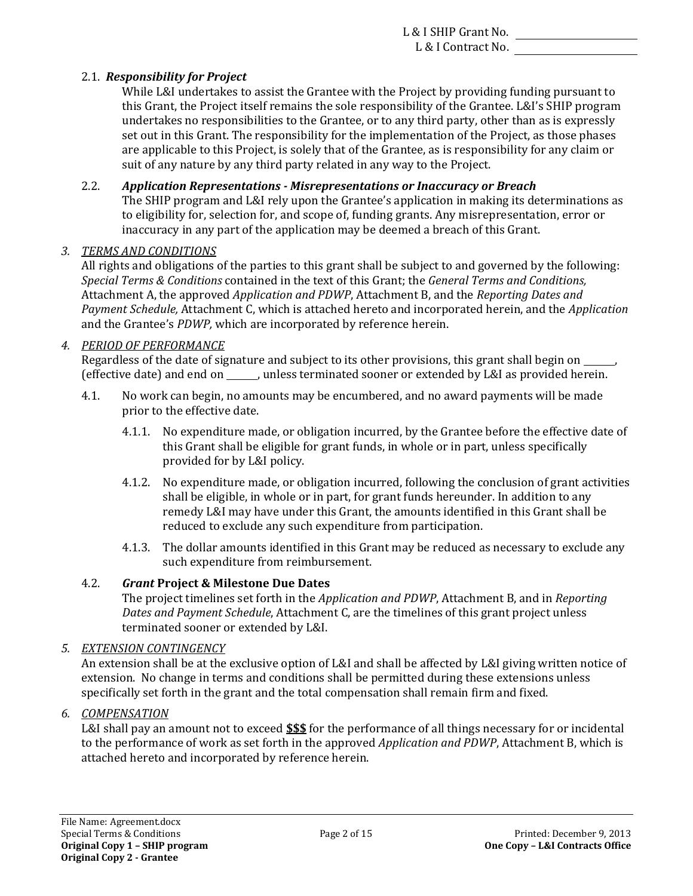## 2.1. *Responsibility for Project*

While L&I undertakes to assist the Grantee with the Project by providing funding pursuant to this Grant, the Project itself remains the sole responsibility of the Grantee. L&I's SHIP program undertakes no responsibilities to the Grantee, or to any third party, other than as is expressly set out in this Grant. The responsibility for the implementation of the Project, as those phases are applicable to this Project, is solely that of the Grantee, as is responsibility for any claim or suit of any nature by any third party related in any way to the Project.

## 2.2. *Application Representations ‐ Misrepresentations or Inaccuracy or Breach*

The SHIP program and L&I rely upon the Grantee's application in making its determinations as to eligibility for, selection for, and scope of, funding grants. Any misrepresentation, error or inaccuracy in any part of the application may be deemed a breach of this Grant.

## *3. TERMS AND CONDITIONS*

 *Special Terms & Conditions* contained in the text of this Grant; the *General Terms and Conditions,*  Attachment A, the approved *Application and PDWP*, Attachment B, and the *Reporting Dates and* All rights and obligations of the parties to this grant shall be subject to and governed by the following: *Payment Schedule,* Attachment C, which is attached hereto and incorporated herein, and the *Application* and the Grantee's *PDWP*, which are incorporated by reference herein.

## *4. PERIOD OF PERFORMANCE*

Regardless of the date of signature and subject to its other provisions, this grant shall begin on we (effective date) and end on \_\_\_\_\_, unless terminated sooner or extended by L&I as provided herein.

- 4.1. No work can begin, no amounts may be encumbered, and no award payments will be made prior to the effective date.
	- 4.1.1. No expenditure made, or obligation incurred, by the Grantee before the effective date of this Grant shall be eligible for grant funds, in whole or in part, unless specifically provided for by L&I policy.
	- remedy L&I may have under this Grant, the amounts identified in this Grant shall be 4.1.2. No expenditure made, or obligation incurred, following the conclusion of grant activities shall be eligible, in whole or in part, for grant funds hereunder. In addition to any reduced to exclude any such expenditure from participation.
	- 4.1.3. The dollar amounts identified in this Grant may be reduced as necessary to exclude any such expenditure from reimbursement.

## 4.2. *Grant* **Project & Milestone Due Dates**

The project timelines set forth in the *Application and PDWP*, Attachment B, and in *Reporting* Dates and Payment Schedule, Attachment C, are the timelines of this grant project unless terminated sooner or extended by L&I.

## *5. EXTENSION CONTINGENCY*

An extension shall be at the exclusive option of L&I and shall be affected by L&I giving written notice of extension. No change in terms and conditions shall be permitted during these extensions unless specifically set forth in the grant and the total compensation shall remain firm and fixed.

## *6. COMPENSATION*

to the performance of work as set forth in the approved *Application and PDWP*, Attachment B, which is L&I shall pay an amount not to exceed **\$\$\$** for the performance of all things necessary for or incidental attached hereto and incorporated by reference herein.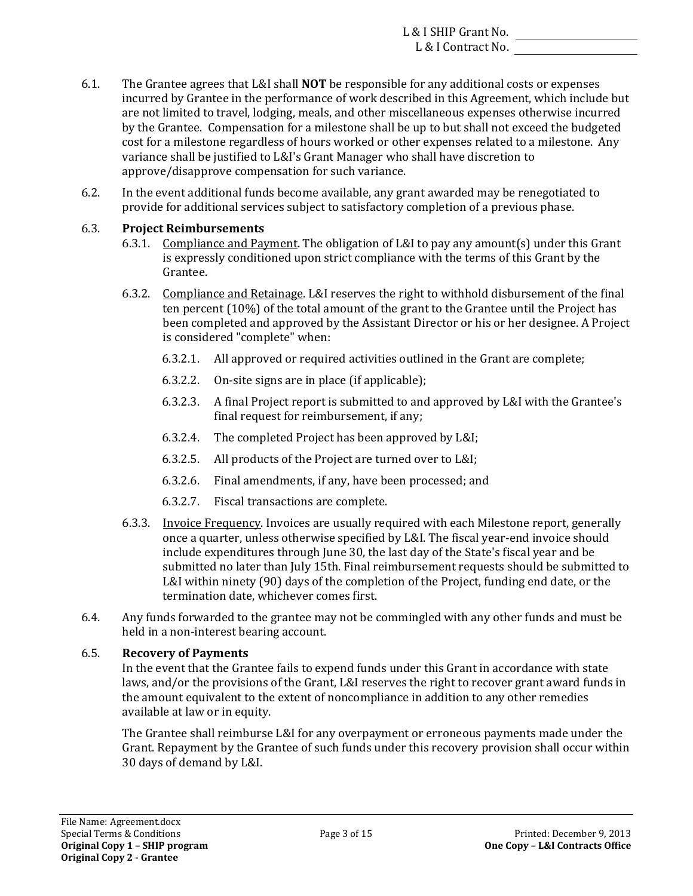- 6.1. The Grantee agrees that L&I shall **NOT** be responsible for any additional costs or expenses incurred by Grantee in the performance of work described in this Agreement, which include but are not limited to travel, lodging, meals, and other miscellaneous expenses otherwise incurred by the Grantee. Compensation for a milestone shall be up to but shall not exceed the budgeted cost for a milestone regardless of hours worked or other expenses related to a milestone. Any variance shall be justified to L&I's Grant Manager who shall have discretion to approve/disapprove compensation for such variance.
- 6.2. In the event additional funds become available, any grant awarded may be renegotiated to provide for additional services subject to satisfactory completion of a previous phase.

## 6.3. **Project Reimbursements**

- 6.3.1. Compliance and Payment. The obligation of L&I to pay any amount(s) under this Grant is expressly conditioned upon strict compliance with the terms of this Grant by the Grantee.
- 6.3.2. Compliance and Retainage. L&I reserves the right to withhold disbursement of the final ten percent  $(10\%)$  of the total amount of the grant to the Grantee until the Project has been completed and approved by the Assistant Director or his or her designee. A Project is considered "complete" when:
	- $6.3.2.1.$  All approved or required activities outlined in the Grant are complete;
	- 6.3.2.2. On-site signs are in place (if applicable);
	- 6.3.2.3. A final Project report is submitted to and approved by L&I with the Grantee's final request for reimbursement, if any;
	- 6.3.2.4. The completed Project has been approved by L&I;
	- 6.3.2.5. All products of the Project are turned over to L&I;
	- 6.3.2.6. Final amendments, if any, have been processed; and
	- 6.3.2.7. Fiscal transactions are complete.
- include expenditures through June 30, the last day of the State's fiscal year and be 6.3.3. Invoice Frequency. Invoices are usually required with each Milestone report, generally once a quarter, unless otherwise specified by L&I. The fiscal year-end invoice should submitted no later than July 15th. Final reimbursement requests should be submitted to L&I within ninety  $(90)$  days of the completion of the Project, funding end date, or the termination date, whichever comes first.
- held in a non-interest bearing account. 6.4. Any funds forwarded to the grantee may not be commingled with any other funds and must be

## 6.5. **Recovery of Payments**

In the event that the Grantee fails to expend funds under this Grant in accordance with state laws, and/or the provisions of the Grant, L&I reserves the right to recover grant award funds in the amount equivalent to the extent of noncompliance in addition to any other remedies available at law or in equity.

The Grantee shall reimburse L&I for any overpayment or erroneous payments made under the Grant. Repayment by the Grantee of such funds under this recovery provision shall occur within 30 days of demand by L&I.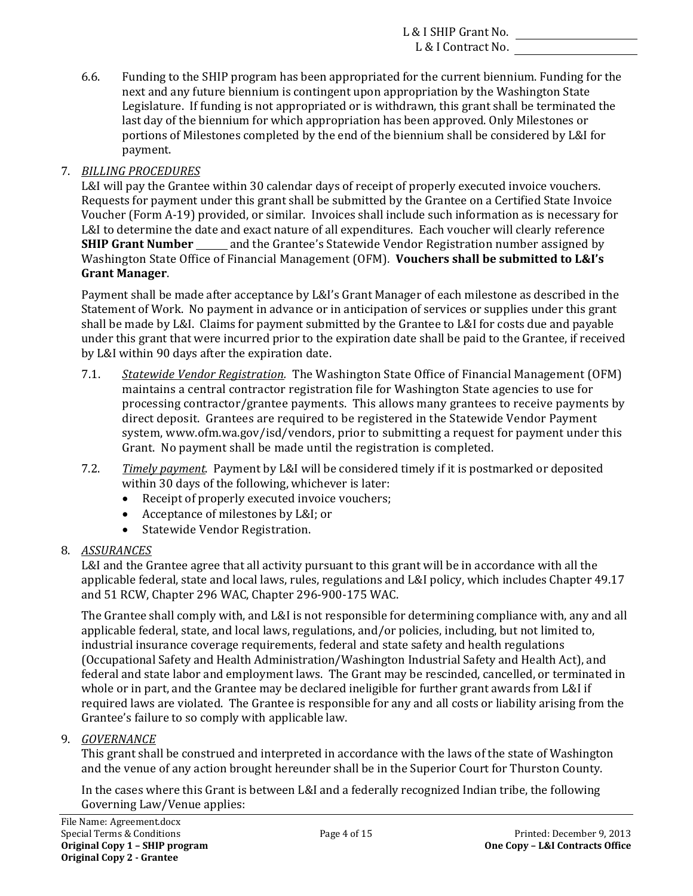portions of Milestones completed by the end of the biennium shall be considered by L&I for 6.6. Funding to the SHIP program has been appropriated for the current biennium. Funding for the next and any future biennium is contingent upon appropriation by the Washington State Legislature. If funding is not appropriated or is withdrawn, this grant shall be terminated the last day of the biennium for which appropriation has been approved. Only Milestones or payment.

## 7. *BILLING PROCEDURES*

**SHIP Grant Number** \_\_\_\_\_ and the Grantee's Statewide Vendor Registration number assigned by  Washington State Office of Financial Management (OFM)*.* **Vouchers shall be submitted to L&I's** L&I will pay the Grantee within 30 calendar days of receipt of properly executed invoice vouchers. Requests for payment under this grant shall be submitted by the Grantee on a Certified State Invoice Voucher (Form A-19) provided, or similar. Invoices shall include such information as is necessary for L&I to determine the date and exact nature of all expenditures. Each voucher will clearly reference **Grant Manager**. 

shall be made by L&I. Claims for payment submitted by the Grantee to L&I for costs due and payable Payment shall be made after acceptance by L&I's Grant Manager of each milestone as described in the Statement of Work. No payment in advance or in anticipation of services or supplies under this grant under this grant that were incurred prior to the expiration date shall be paid to the Grantee, if received by L&I within 90 days after the expiration date.

- 7.1. *Statewide Vendor Registration*. The Washington State Office of Financial Management (OFM) maintains a central contractor registration file for Washington State agencies to use for processing contractor/grantee payments. This allows many grantees to receive payments by direct deposit. Grantees are required to be registered in the Statewide Vendor Payment system, www.ofm.wa.gov/isd/vendors, prior to submitting a request for payment under this Grant. No payment shall be made until the registration is completed.
- 7.2. *Timely payment*. Payment by L&I will be considered timely if it is postmarked or deposited within 30 days of the following, whichever is later:
	- Receipt of properly executed invoice vouchers;
	- Acceptance of milestones by L&I; or
	- Statewide Vendor Registration.

## 8. *ASSURANCES*

L&I and the Grantee agree that all activity pursuant to this grant will be in accordance with all the applicable federal, state and local laws, rules, regulations and L&I policy, which includes Chapter 49.17 and 51 RCW, Chapter 296 WAC, Chapter 296-900-175 WAC.

industrial insurance coverage requirements, federal and state safety and health regulations federal and state labor and employment laws. The Grant may be rescinded, cancelled, or terminated in The Grantee shall comply with, and L&I is not responsible for determining compliance with, any and all applicable federal, state, and local laws, regulations, and/or policies, including, but not limited to, (Occupational Safety and Health Administration/Washington Industrial Safety and Health Act), and whole or in part, and the Grantee may be declared ineligible for further grant awards from L&I if required laws are violated. The Grantee is responsible for any and all costs or liability arising from the Grantee's failure to so comply with applicable law.

## 9. *GOVERNANCE*

and the venue of any action brought hereunder shall be in the Superior Court for Thurston County. This grant shall be construed and interpreted in accordance with the laws of the state of Washington

In the cases where this Grant is between L&I and a federally recognized Indian tribe, the following Governing Law/Venue applies: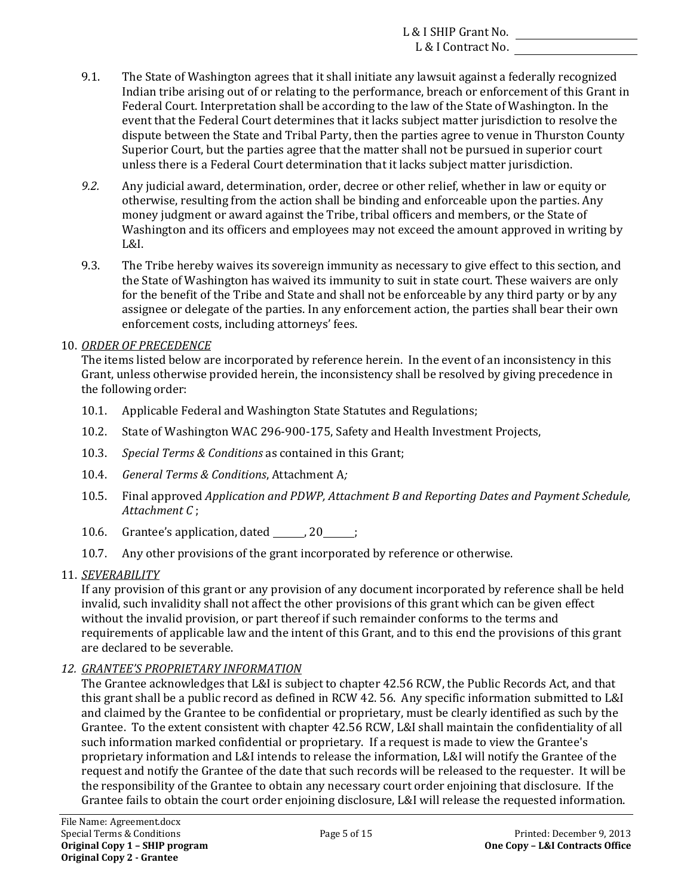- 9.1. The State of Washington agrees that it shall initiate any lawsuit against a federally recognized Indian tribe arising out of or relating to the performance, breach or enforcement of this Grant in Federal Court. Interpretation shall be according to the law of the State of Washington. In the event that the Federal Court determines that it lacks subject matter jurisdiction to resolve the dispute between the State and Tribal Party, then the parties agree to venue in Thurston County Superior Court, but the parties agree that the matter shall not be pursued in superior court unless there is a Federal Court determination that it lacks subject matter jurisdiction.
- *9.2.* Any judicial award, determination, order, decree or other relief, whether in law or equity or otherwise, resulting from the action shall be binding and enforceable upon the parties. Any money judgment or award against the Tribe, tribal officers and members, or the State of Washington and its officers and employees may not exceed the amount approved in writing by L&I.
- assignee or delegate of the parties. In any enforcement action, the parties shall bear their own 9.3. The Tribe hereby waives its sovereign immunity as necessary to give effect to this section, and the State of Washington has waived its immunity to suit in state court. These waivers are only for the benefit of the Tribe and State and shall not be enforceable by any third party or by any enforcement costs, including attorneys' fees.
- 10. *ORDER OF PRECEDENCE*

The items listed below are incorporated by reference herein. In the event of an inconsistency in this Grant, unless otherwise provided herein, the inconsistency shall be resolved by giving precedence in the following order:

- 10.1. Applicable Federal and Washington State Statutes and Regulations;
- 10.2. State of Washington WAC 296-900-175, Safety and Health Investment Projects,
- 10.3. *Special Terms & Conditions* as contained in this Grant;
- 10.4. *General Terms & Conditions*, Attachment A*;*
- 10.5. Final approved *Application and PDWP, Attachment B and Reporting Dates and Payment Schedule, Attachment C* ;
- 10.6. Grantee's application, dated  $\frac{20}{100}$ ;
- 10.7. Any other provisions of the grant incorporated by reference or otherwise.
- 11. *SEVERABILITY*

If any provision of this grant or any provision of any document incorporated by reference shall be held invalid, such invalidity shall not affect the other provisions of this grant which can be given effect without the invalid provision, or part thereof if such remainder conforms to the terms and requirements of applicable law and the intent of this Grant, and to this end the provisions of this grant are declared to be severable.

*12. GRANTEE'S PROPRIETARY INFORMATION*

The Grantee acknowledges that L&I is subject to chapter 42.56 RCW, the Public Records Act, and that this grant shall be a public record as defined in RCW 42. 56. Any specific information submitted to L&I and claimed by the Grantee to be confidential or proprietary, must be clearly identified as such by the Grantee. To the extent consistent with chapter 42.56 RCW, L&I shall maintain the confidentiality of all such information marked confidential or proprietary. If a request is made to view the Grantee's proprietary information and L&I intends to release the information, L&I will notify the Grantee of the request and notify the Grantee of the date that such records will be released to the requester. It will be the responsibility of the Grantee to obtain any necessary court order enjoining that disclosure. If the Grantee fails to obtain the court order enjoining disclosure, L&I will release the requested information.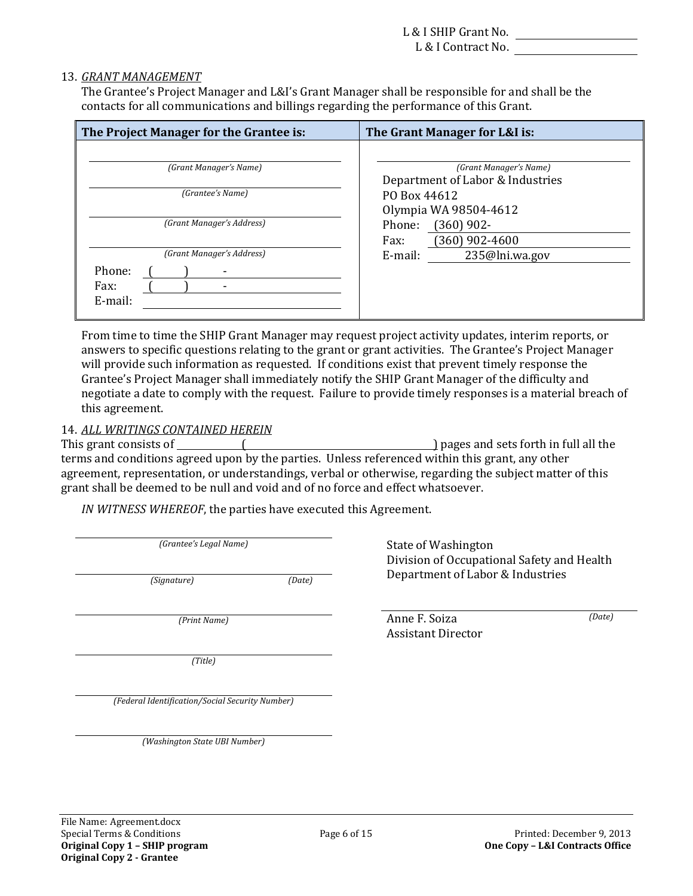## 13. *GRANT MANAGEMENT*

The Grantee's Project Manager and L&I's Grant Manager shall be responsible for and shall be the contacts for all communications and billings regarding the performance of this Grant.

| The Project Manager for the Grantee is:                | The Grant Manager for L&I is:                              |
|--------------------------------------------------------|------------------------------------------------------------|
| (Grant Manager's Name)                                 | (Grant Manager's Name)<br>Department of Labor & Industries |
| (Grantee's Name)                                       | PO Box 44612<br>Olympia WA 98504-4612                      |
| (Grant Manager's Address)                              | $(360)$ 902-<br>Phone:<br>$(360)$ 902-4600<br>Fax:         |
| (Grant Manager's Address)<br>Phone:<br>Fax:<br>E-mail: | 235@lni.wa.gov<br>E-mail:                                  |

From time to time the SHIP Grant Manager may request project activity updates, interim reports, or answers to specific questions relating to the grant or grant activities. The Grantee's Project Manager will provide such information as requested. If conditions exist that prevent timely response the Grantee's Project Manager shall immediately notify the SHIP Grant Manager of the difficulty and negotiate a date to comply with the request. Failure to provide timely responses is a material breach of this agreement.

### 14. *ALL WRITINGS CONTAINED HEREIN*

 This grant consists of ( ) pages and sets forth in full all the grant shall be deemed to be null and void and of no force and effect whatsoever. terms and conditions agreed upon by the parties. Unless referenced within this grant, any other agreement, representation, or understandings, verbal or otherwise, regarding the subject matter of this

IN WITNESS WHEREOF, the parties have executed this Agreement.

*(Grantee's Legal Name)* 

*(Print Name)* 

*(Title)*

*(Grantee's Legal Name)* State of Washington Division of Occupational Safety and Health *(Signature) (Date)* Department of Labor & Industries

> *(Print Name)* Anne F. Soiza Assistant Director

*(Date)*

 *(Federal Identification/Social Security Number)*

 *(Washington State UBI Number)*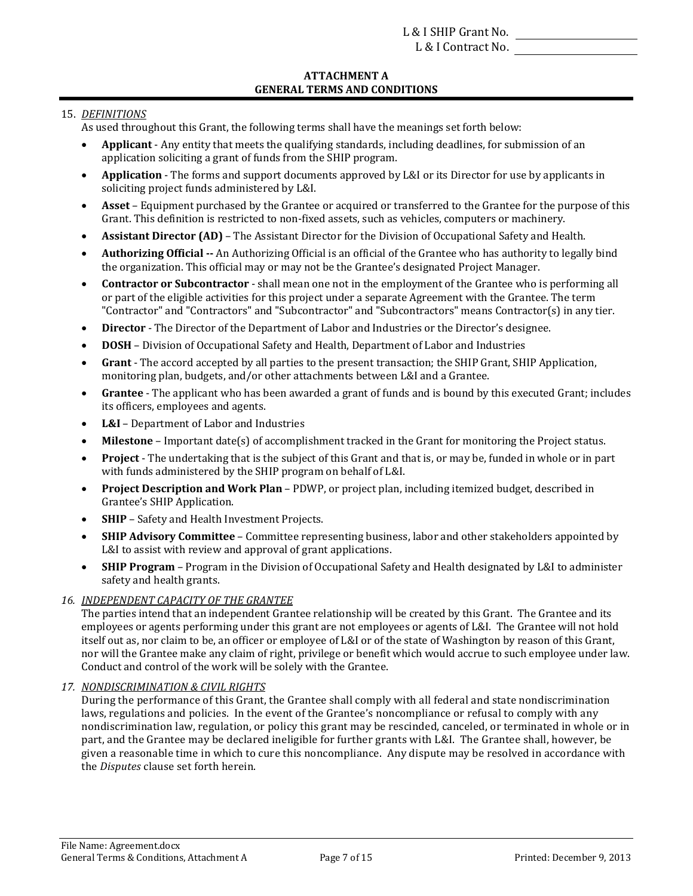#### **ATTACHMENT A GENERAL TERMS AND CONDITIONS**

## 15. *DEFINITIONS*

- As used throughout this Grant, the following terms shall have the meanings set forth below:
- **Applicant** Any entity that meets the qualifying standards, including deadlines, for submission of an application soliciting a grant of funds from the SHIP program.
- **Application** The forms and support documents approved by L&I or its Director for use by applicants in soliciting project funds administered by L&I.
- **Asset** Equipment purchased by the Grantee or acquired or transferred to the Grantee for the purpose of this Grant. This definition is restricted to non-fixed assets, such as vehicles, computers or machinery.
- **Assistant Director (AD)** The Assistant Director for the Division of Occupational Safety and Health.
- **Authorizing Official** -- An Authorizing Official is an official of the Grantee who has authority to legally bind the organization. This official may or may not be the Grantee's designated Project Manager.
- **Contractor or Subcontractor** shall mean one not in the employment of the Grantee who is performing all or part of the eligible activities for this project under a separate Agreement with the Grantee. The term "Contractor" and "Contractors" and "Subcontractor" and "Subcontractors" means Contractor(s) in any tier.
- **Director** The Director of the Department of Labor and Industries or the Director's designee.
- **DOSH** Division of Occupational Safety and Health, Department of Labor and Industries
- **Grant** The accord accepted by all parties to the present transaction; the SHIP Grant, SHIP Application, monitoring plan, budgets, and/or other attachments between L&I and a Grantee.
- Grantee The applicant who has been awarded a grant of funds and is bound by this executed Grant; includes its officers, employees and agents.
- **L&I** Department of Labor and Industries
- **Milestone** Important date(s) of accomplishment tracked in the Grant for monitoring the Project status.
- **Project** The undertaking that is the subject of this Grant and that is, or may be, funded in whole or in part with funds administered by the SHIP program on behalf of L&I.
- **•** Project Description and Work Plan PDWP, or project plan, including itemized budget, described in Grantee's SHIP Application.
- **SHIP** Safety and Health Investment Projects.
- **SHIP Advisory Committee** Committee representing business, labor and other stakeholders appointed by L&I to assist with review and approval of grant applications.
- **SHIP Program** Program in the Division of Occupational Safety and Health designated by L&I to administer safety and health grants.

## *16. INDEPENDENT CAPACITY OF THE GRANTEE*

itself out as, nor claim to be, an officer or employee of L&I or of the state of Washington by reason of this Grant, The parties intend that an independent Grantee relationship will be created by this Grant. The Grantee and its employees or agents performing under this grant are not employees or agents of L&I. The Grantee will not hold nor will the Grantee make any claim of right, privilege or benefit which would accrue to such employee under law. Conduct and control of the work will be solely with the Grantee.

#### *17. NONDISCRIMINATION & CIVIL RIGHTS*

During the performance of this Grant, the Grantee shall comply with all federal and state nondiscrimination nondiscrimination law, regulation, or policy this grant may be rescinded, canceled, or terminated in whole or in given a reasonable time in which to cure this noncompliance. Any dispute may be resolved in accordance with laws, regulations and policies. In the event of the Grantee's noncompliance or refusal to comply with any part, and the Grantee may be declared ineligible for further grants with L&I. The Grantee shall, however, be the *Disputes* clause set forth herein.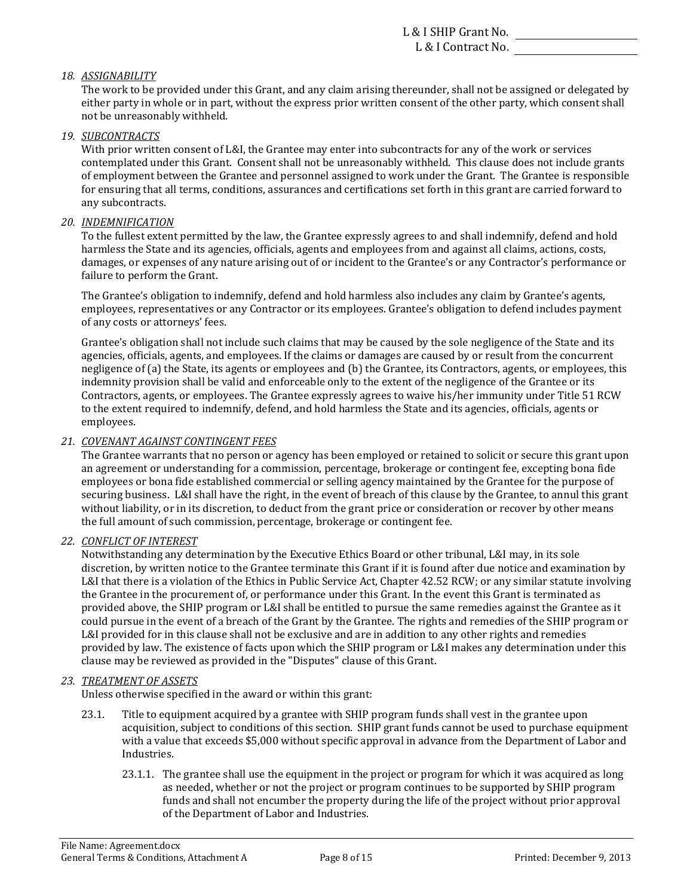### *18. ASSIGNABILITY*

The work to be provided under this Grant, and any claim arising thereunder, shall not be assigned or delegated by either party in whole or in part, without the express prior written consent of the other party, which consent shall not be unreasonably withheld.

#### *19. SUBCONTRACTS*

With prior written consent of L&I, the Grantee may enter into subcontracts for any of the work or services contemplated under this Grant. Consent shall not be unreasonably withheld. This clause does not include grants of employment between the Grantee and personnel assigned to work under the Grant. The Grantee is responsible for ensuring that all terms, conditions, assurances and certifications set forth in this grant are carried forward to any subcontracts.

#### *20. INDEMNIFICATION*

To the fullest extent permitted by the law, the Grantee expressly agrees to and shall indemnify, defend and hold failure to perform the Grant. harmless the State and its agencies, officials, agents and employees from and against all claims, actions, costs, damages, or expenses of any nature arising out of or incident to the Grantee's or any Contractor's performance or

of any costs or attorneys' fees. The Grantee's obligation to indemnify, defend and hold harmless also includes any claim by Grantee's agents, employees, representatives or any Contractor or its employees. Grantee's obligation to defend includes payment

Grantee's obligation shall not include such claims that may be caused by the sole negligence of the State and its to the extent required to indemnify, defend, and hold harmless the State and its agencies, officials, agents or agencies, officials, agents, and employees. If the claims or damages are caused by or result from the concurrent negligence of (a) the State, its agents or employees and (b) the Grantee, its Contractors, agents, or employees, this indemnity provision shall be valid and enforceable only to the extent of the negligence of the Grantee or its Contractors, agents, or employees. The Grantee expressly agrees to waive his/her immunity under Title 51 RCW employees. 

#### *21. COVENANT AGAINST CONTINGENT FEES*

an agreement or understanding for a commission, percentage, brokerage or contingent fee, excepting bona fide securing business. L&I shall have the right, in the event of breach of this clause by the Grantee, to annul this grant without liability, or in its discretion, to deduct from the grant price or consideration or recover by other means The Grantee warrants that no person or agency has been employed or retained to solicit or secure this grant upon employees or bona fide established commercial or selling agency maintained by the Grantee for the purpose of the full amount of such commission, percentage, brokerage or contingent fee.

#### *22. CONFLICT OF INTEREST*

Notwithstanding any determination by the Executive Ethics Board or other tribunal, L&I may, in its sole discretion, by written notice to the Grantee terminate this Grant if it is found after due notice and examination by provided above, the SHIP program or L&I shall be entitled to pursue the same remedies against the Grantee as it clause may be reviewed as provided in the "Disputes" clause of this Grant. L&I that there is a violation of the Ethics in Public Service Act, Chapter 42.52 RCW; or any similar statute involving the Grantee in the procurement of, or performance under this Grant. In the event this Grant is terminated as could pursue in the event of a breach of the Grant by the Grantee. The rights and remedies of the SHIP program or L&I provided for in this clause shall not be exclusive and are in addition to any other rights and remedies provided by law. The existence of facts upon which the SHIP program or L&I makes any determination under this

#### *23. TREATMENT OF ASSETS*

Unless otherwise specified in the award or within this grant:

- 23.1. Title to equipment acquired by a grantee with SHIP program funds shall vest in the grantee upon with a value that exceeds \$5,000 without specific approval in advance from the Department of Labor and acquisition, subject to conditions of this section. SHIP grant funds cannot be used to purchase equipment Industries.
	- 23.1.1. The grantee shall use the equipment in the project or program for which it was acquired as long as needed, whether or not the project or program continues to be supported by SHIP program funds and shall not encumber the property during the life of the project without prior approval of the Department of Labor and Industries.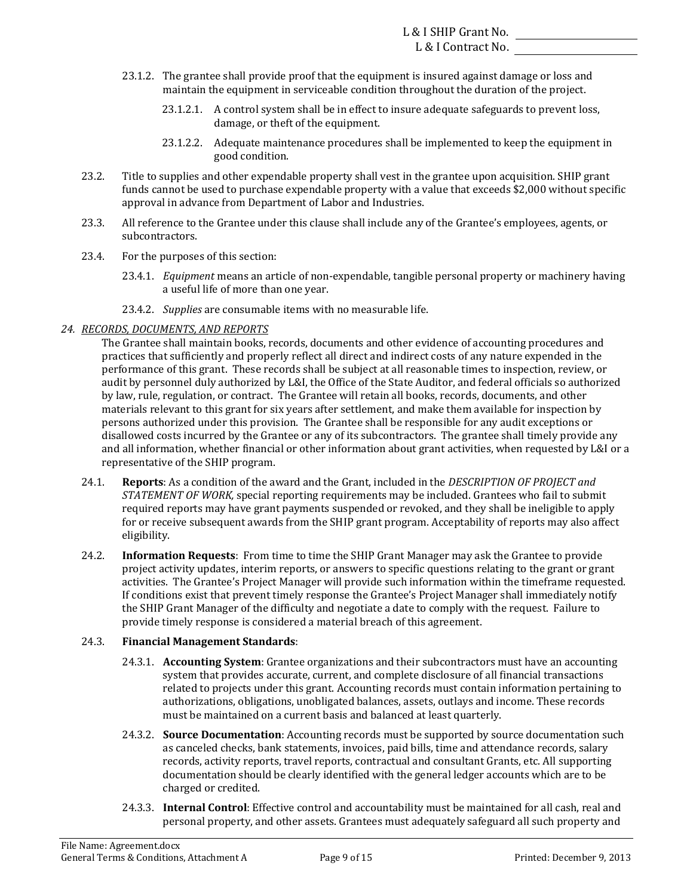- 23.1.2. The grantee shall provide proof that the equipment is insured against damage or loss and maintain the equipment in serviceable condition throughout the duration of the project.
	- damage, or theft of the equipment. 23.1.2.1. A control system shall be in effect to insure adequate safeguards to prevent loss,
	- 23.1.2.2. Adequate maintenance procedures shall be implemented to keep the equipment in good condition.
- funds cannot be used to purchase expendable property with a value that exceeds \$2,000 without specific 23.2. Title to supplies and other expendable property shall vest in the grantee upon acquisition. SHIP grant approval in advance from Department of Labor and Industries.
- 23.3. All reference to the Grantee under this clause shall include any of the Grantee's employees, agents, or subcontractors.
- 23.4. For the purposes of this section:
	- 23.4.1. *Equipment* means an article of non-expendable, tangible personal property or machinery having a useful life of more than one year.
	- 23.4.2. *Supplies* are consumable items with no measurable life.

### *24. RECORDS, DOCUMENTS, AND REPORTS*

practices that sufficiently and properly reflect all direct and indirect costs of any nature expended in the by law, rule, regulation, or contract. The Grantee will retain all books, records, documents, and other materials relevant to this grant for six years after settlement, and make them available for inspection by representative of the SHIP program. The Grantee shall maintain books, records, documents and other evidence of accounting procedures and performance of this grant. These records shall be subject at all reasonable times to inspection, review, or audit by personnel duly authorized by L&I, the Office of the State Auditor, and federal officials so authorized persons authorized under this provision. The Grantee shall be responsible for any audit exceptions or disallowed costs incurred by the Grantee or any of its subcontractors. The grantee shall timely provide any and all information, whether financial or other information about grant activities, when requested by L&I or a

- 24.1. **Reports**: As a condition of the award and the Grant, included in the *DESCRIPTION OF PROJECT* and *STATEMENT* OF WORK, special reporting requirements may be included. Grantees who fail to submit required reports may have grant payments suspended or revoked, and they shall be ineligible to apply for or receive subsequent awards from the SHIP grant program. Acceptability of reports may also affect eligibility.
- 24.2. **Information Requests**: From time to time the SHIP Grant Manager may ask the Grantee to provide the SHIP Grant Manager of the difficulty and negotiate a date to comply with the request. Failure to project activity updates, interim reports, or answers to specific questions relating to the grant or grant activities. The Grantee's Project Manager will provide such information within the timeframe requested. If conditions exist that prevent timely response the Grantee's Project Manager shall immediately notify provide timely response is considered a material breach of this agreement.

#### 24.3. **Financial Management Standards**:

- 24.3.1. **Accounting System**: Grantee organizations and their subcontractors must have an accounting system that provides accurate, current, and complete disclosure of all financial transactions related to projects under this grant. Accounting records must contain information pertaining to authorizations, obligations, unobligated balances, assets, outlays and income. These records must be maintained on a current basis and balanced at least quarterly.
- as canceled checks, bank statements, invoices, paid bills, time and attendance records, salary documentation should be clearly identified with the general ledger accounts which are to be 24.3.2. **Source Documentation**: Accounting records must be supported by source documentation such records, activity reports, travel reports, contractual and consultant Grants, etc. All supporting charged or credited.
- 24.3.3. **Internal Control**: Effective control and accountability must be maintained for all cash, real and personal property, and other assets. Grantees must adequately safeguard all such property and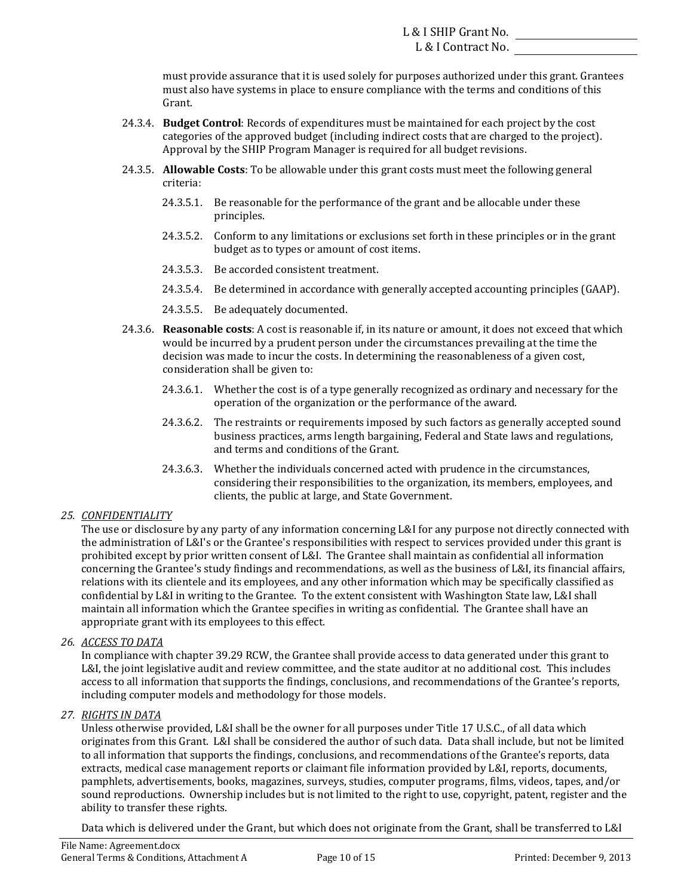must provide assurance that it is used solely for purposes authorized under this grant. Grantees must also have systems in place to ensure compliance with the terms and conditions of this Grant.

- 24.3.4. **Budget Control**: Records of expenditures must be maintained for each project by the cost categories of the approved budget (including indirect costs that are charged to the project). Approval by the SHIP Program Manager is required for all budget revisions.
- 24.3.5. **Allowable Costs**: To be allowable under this grant costs must meet the following general criteria:
	- $24.3.5.1.$  Be reasonable for the performance of the grant and be allocable under these principles.
	- 24.3.5.2. Conform to any limitations or exclusions set forth in these principles or in the grant budget as to types or amount of cost items.
	- 24.3.5.3. Be accorded consistent treatment.
	- 24.3.5.4. Be determined in accordance with generally accepted accounting principles (GAAP).
	- 24.3.5.5. Be adequately documented.
- 24.3.6. **Reasonable costs**: A cost is reasonable if, in its nature or amount, it does not exceed that which consideration shall be given to: would be incurred by a prudent person under the circumstances prevailing at the time the decision was made to incur the costs. In determining the reasonableness of a given cost,
	- 24.3.6.1. Whether the cost is of a type generally recognized as ordinary and necessary for the operation of the organization or the performance of the award.
	- and terms and conditions of the Grant. 24.3.6.2. The restraints or requirements imposed by such factors as generally accepted sound business practices, arms length bargaining, Federal and State laws and regulations,
	- 24.3.6.3. Whether the individuals concerned acted with prudence in the circumstances, considering their responsibilities to the organization, its members, employees, and clients, the public at large, and State Government.

## *25. CONFIDENTIALITY*

The use or disclosure by any party of any information concerning L&I for any purpose not directly connected with concerning the Grantee's study findings and recommendations, as well as the business of L&I, its financial affairs, appropriate grant with its employees to this effect. the administration of L&I's or the Grantee's responsibilities with respect to services provided under this grant is prohibited except by prior written consent of L&I. The Grantee shall maintain as confidential all information relations with its clientele and its employees, and any other information which may be specifically classified as confidential by L&I in writing to the Grantee. To the extent consistent with Washington State law, L&I shall maintain all information which the Grantee specifies in writing as confidential. The Grantee shall have an

 *26. ACCESS TO DATA*

access to all information that supports the findings, conclusions, and recommendations of the Grantee's reports, In compliance with chapter 39.29 RCW, the Grantee shall provide access to data generated under this grant to L&I, the joint legislative audit and review committee, and the state auditor at no additional cost. This includes including computer models and methodology for those models.

#### *27. RIGHTS IN DATA*

sound reproductions. Ownership includes but is not limited to the right to use, copyright, patent, register and the Unless otherwise provided, L&I shall be the owner for all purposes under Title 17 U.S.C., of all data which originates from this Grant. L&I shall be considered the author of such data. Data shall include, but not be limited to all information that supports the findings, conclusions, and recommendations of the Grantee's reports, data extracts, medical case management reports or claimant file information provided by L&I, reports, documents, pamphlets, advertisements, books, magazines, surveys, studies, computer programs, films, videos, tapes, and/or ability to transfer these rights.

Data which is delivered under the Grant, but which does not originate from the Grant, shall be transferred to L&I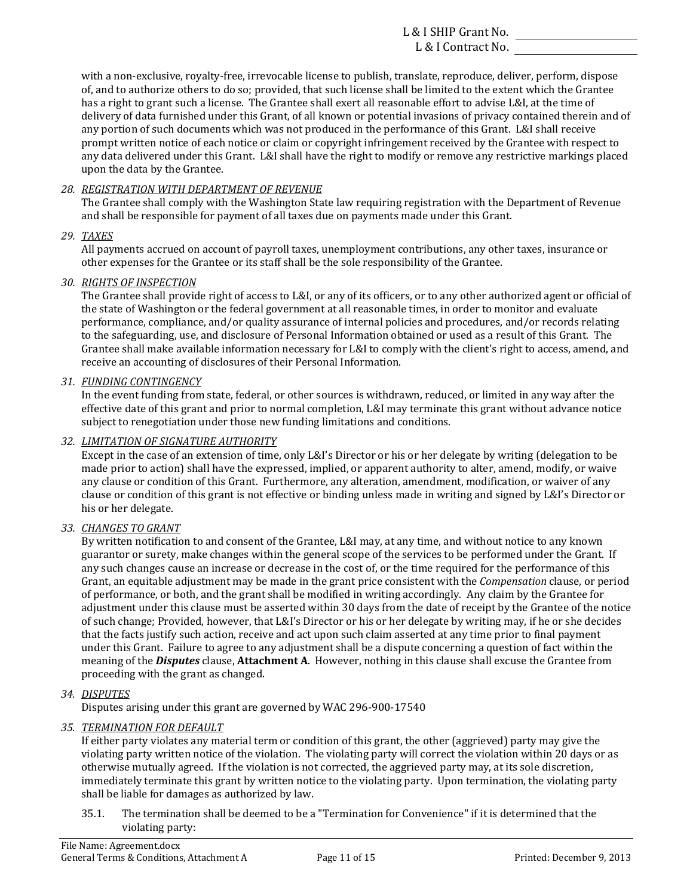of, and to authorize others to do so; provided, that such license shall be limited to the extent which the Grantee any portion of such documents which was not produced in the performance of this Grant. L&I shall receive with a non-exclusive, royalty-free, irrevocable license to publish, translate, reproduce, deliver, perform, dispose has a right to grant such a license. The Grantee shall exert all reasonable effort to advise L&I, at the time of delivery of data furnished under this Grant, of all known or potential invasions of privacy contained therein and of prompt written notice of each notice or claim or copyright infringement received by the Grantee with respect to any data delivered under this Grant. L&I shall have the right to modify or remove any restrictive markings placed upon the data by the Grantee.

## *28. REGISTRATION WITH DEPARTMENT OF REVENUE*

and shall be responsible for payment of all taxes due on payments made under this Grant. The Grantee shall comply with the Washington State law requiring registration with the Department of Revenue

### *29. TAXES*

All payments accrued on account of payroll taxes, unemployment contributions, any other taxes, insurance or other expenses for the Grantee or its staff shall be the sole responsibility of the Grantee.

### *30. RIGHTS OF INSPECTION*

The Grantee shall provide right of access to L&I, or any of its officers, or to any other authorized agent or official of performance, compliance, and/or quality assurance of internal policies and procedures, and/or records relating receive an accounting of disclosures of their Personal Information. the state of Washington or the federal government at all reasonable times, in order to monitor and evaluate to the safeguarding, use, and disclosure of Personal Information obtained or used as a result of this Grant. The Grantee shall make available information necessary for L&I to comply with the client's right to access, amend, and

### *31. FUNDING CONTINGENCY*

effective date of this grant and prior to normal completion, L&I may terminate this grant without advance notice In the event funding from state, federal, or other sources is withdrawn, reduced, or limited in any way after the subject to renegotiation under those new funding limitations and conditions.

### *32. LIMITATION OF SIGNATURE AUTHORITY*

any clause or condition of this Grant. Furthermore, any alteration, amendment, modification, or waiver of any Except in the case of an extension of time, only L&I's Director or his or her delegate by writing (delegation to be made prior to action) shall have the expressed, implied, or apparent authority to alter, amend, modify, or waive clause or condition of this grant is not effective or binding unless made in writing and signed by L&I's Director or his or her delegate.

## *33. CHANGES TO GRANT*

guarantor or surety, make changes within the general scope of the services to be performed under the Grant. If Grant, an equitable adjustment may be made in the grant price consistent with the *Compensation* clause, or period proceeding with the grant as changed. By written notification to and consent of the Grantee, L&I may, at any time, and without notice to any known any such changes cause an increase or decrease in the cost of, or the time required for the performance of this of performance, or both, and the grant shall be modified in writing accordingly. Any claim by the Grantee for adjustment under this clause must be asserted within 30 days from the date of receipt by the Grantee of the notice of such change; Provided, however, that L&I's Director or his or her delegate by writing may, if he or she decides that the facts justify such action, receive and act upon such claim asserted at any time prior to final payment under this Grant. Failure to agree to any adjustment shall be a dispute concerning a question of fact within the meaning of the *Disputes* clause, Attachment A. However, nothing in this clause shall excuse the Grantee from

#### *34. DISPUTES*

Disputes arising under this grant are governed by WAC 296-900-17540

#### *35. TERMINATION FOR DEFAULT*

immediately terminate this grant by written notice to the violating party. Upon termination, the violating party If either party violates any material term or condition of this grant, the other (aggrieved) party may give the violating party written notice of the violation. The violating party will correct the violation within 20 days or as otherwise mutually agreed. If the violation is not corrected, the aggrieved party may, at its sole discretion, shall be liable for damages as authorized by law.

35.1. The termination shall be deemed to be a "Termination for Convenience" if it is determined that the violating party: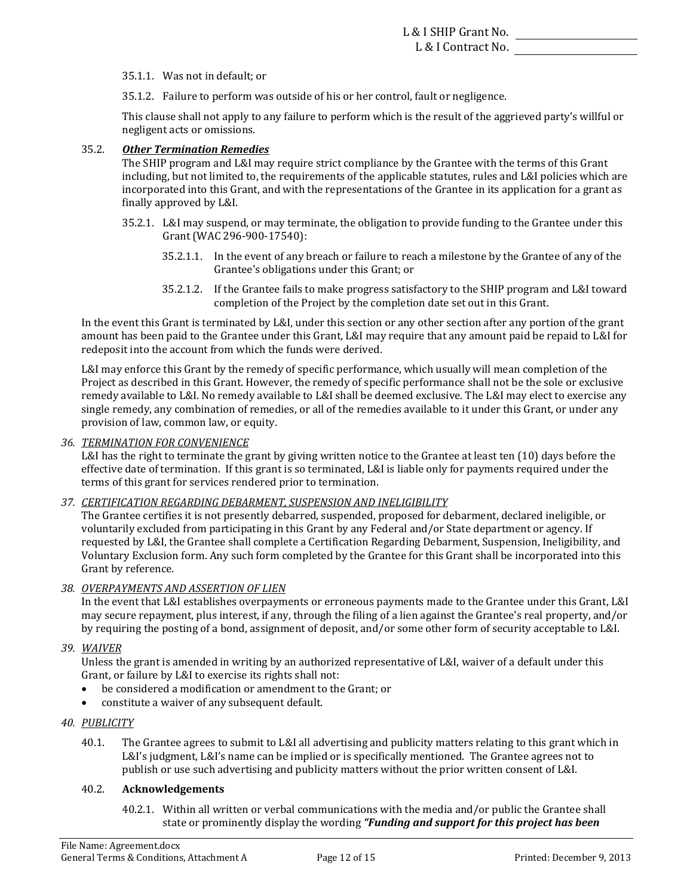35.1.1. Was not in default; or

35.1.2. Failure to perform was outside of his or her control, fault or negligence.

This clause shall not apply to any failure to perform which is the result of the aggrieved party's willful or negligent acts or omissions.

### 35.2. *Other Termination Remedies*

The SHIP program and L&I may require strict compliance by the Grantee with the terms of this Grant including, but not limited to, the requirements of the applicable statutes, rules and L&I policies which are incorporated into this Grant, and with the representations of the Grantee in its application for a grant as finally approved by L&I.

- 35.2.1. L&I may suspend, or may terminate, the obligation to provide funding to the Grantee under this Grant (WAC 296-900-17540):
	- 35.2.1.1. In the event of any breach or failure to reach a milestone by the Grantee of any of the Grantee's obligations under this Grant; or
	- 35.2.1.2. If the Grantee fails to make progress satisfactory to the SHIP program and L&I toward completion of the Project by the completion date set out in this Grant.

In the event this Grant is terminated by L&I, under this section or any other section after any portion of the grant amount has been paid to the Grantee under this Grant, L&I may require that any amount paid be repaid to L&I for redeposit into the account from which the funds were derived.

L&I may enforce this Grant by the remedy of specific performance, which usually will mean completion of the Project as described in this Grant. However, the remedy of specific performance shall not be the sole or exclusive remedy available to L&I. No remedy available to L&I shall be deemed exclusive. The L&I may elect to exercise any single remedy, any combination of remedies, or all of the remedies available to it under this Grant, or under any provision of law, common law, or equity.

#### *36. TERMINATION FOR CONVENIENCE*

L&I has the right to terminate the grant by giving written notice to the Grantee at least ten (10) days before the effective date of termination. If this grant is so terminated, L&I is liable only for payments required under the terms of this grant for services rendered prior to termination.

#### *37. CERTIFICATION REGARDING DEBARMENT, SUSPENSION AND INELIGIBILITY*

requested by L&I, the Grantee shall complete a Certification Regarding Debarment, Suspension, Ineligibility, and Voluntary Exclusion form. Any such form completed by the Grantee for this Grant shall be incorporated into this The Grantee certifies it is not presently debarred, suspended, proposed for debarment, declared ineligible, or voluntarily excluded from participating in this Grant by any Federal and/or State department or agency. If Grant by reference.

## *38. OVERPAYMENTS AND ASSERTION OF LIEN*

In the event that L&I establishes overpayments or erroneous payments made to the Grantee under this Grant, L&I may secure repayment, plus interest, if any, through the filing of a lien against the Grantee's real property, and/or by requiring the posting of a bond, assignment of deposit, and/or some other form of security acceptable to L&I.

#### *39. WAIVER*

Unless the grant is amended in writing by an authorized representative of L&I, waiver of a default under this Grant, or failure by L&I to exercise its rights shall not:

- be considered a modification or amendment to the Grant; or
- constitute a waiver of any subsequent default.

#### *40. PUBLICITY*

40.1. The Grantee agrees to submit to L&I all advertising and publicity matters relating to this grant which in L&I's judgment, L&I's name can be implied or is specifically mentioned. The Grantee agrees not to publish or use such advertising and publicity matters without the prior written consent of L&I.

#### 40.2. **Acknowledgements**

 state or prominently display the wording *"Funding and support for this project has been* 40.2.1. Within all written or verbal communications with the media and/or public the Grantee shall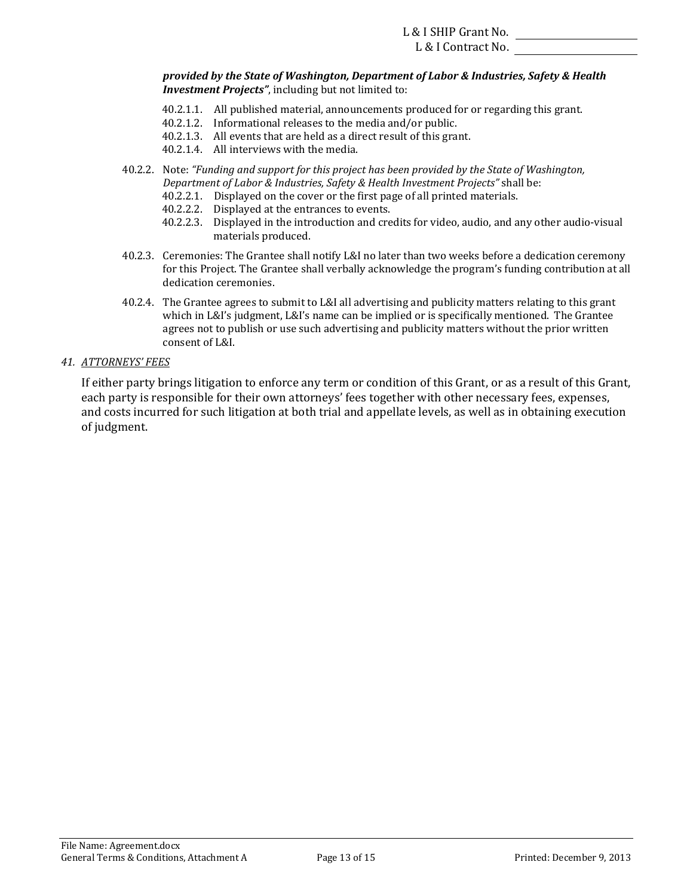#### L & I Contract No.

 *provided by the State of Washington, Department of Labor & Industries, Safety & Health Investment Projects"*, including but not limited to:

- 40.2.1.1. All published material, announcements produced for or regarding this grant.
- 40.2.1.2. Informational releases to the media and/or public.
- 40.2.1.3. All events that are held as a direct result of this grant.
- 40.2.1.4. All interviews with the media.
- 40.2.2. Note: "Funding and support for this project has been provided by the State of Washington, *Department of Labor & Industries, Safety & Health Investment Projects" shall be:* 
	- 40.2.2.1. Displayed on the cover or the first page of all printed materials.
	- 40.2.2.2. Displayed at the entrances to events.
	- 40.2.2.3. Displayed in the introduction and credits for video, audio, and any other audio-visual materials produced.
- 40.2.3. Ceremonies: The Grantee shall notify L&I no later than two weeks before a dedication ceremony for this Project. The Grantee shall verbally acknowledge the program's funding contribution at all dedication ceremonies.
- 40.2.4. The Grantee agrees to submit to L&I all advertising and publicity matters relating to this grant which in  $L\&I's$  judgment,  $L\&I's$  name can be implied or is specifically mentioned. The Grantee agrees not to publish or use such advertising and publicity matters without the prior written consent of L&I.

### *41. ATTORNEYS' FEES*

If either party brings litigation to enforce any term or condition of this Grant, or as a result of this Grant, each party is responsible for their own attorneys' fees together with other necessary fees, expenses, and costs incurred for such litigation at both trial and appellate levels, as well as in obtaining execution of judgment.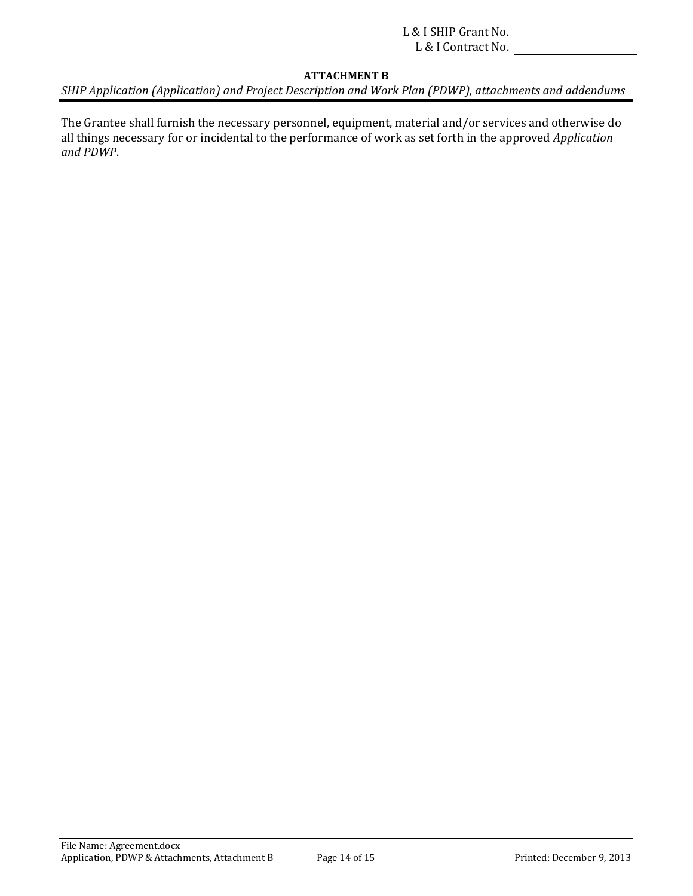## **ATTACHMENT B**

SHIP Application (Application) and Project Description and Work Plan (PDWP), attachments and addendums

The Grantee shall furnish the necessary personnel, equipment, material and/or services and otherwise do all things necessary for or incidental to the performance of work as set forth in the approved *Application and PDWP*.